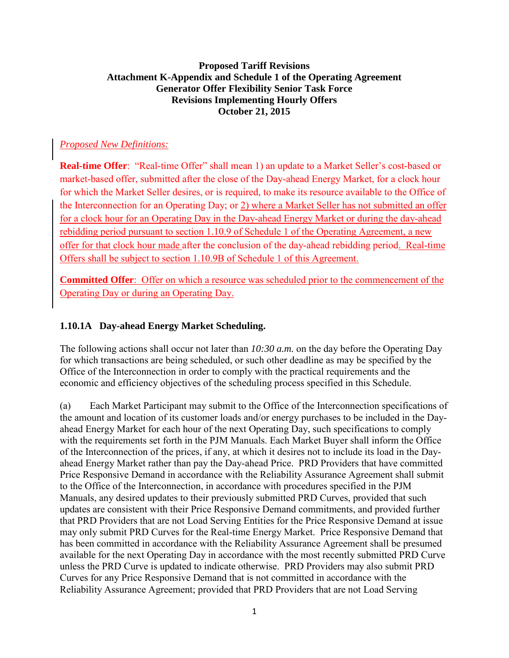### **Proposed Tariff Revisions Attachment K-Appendix and Schedule 1 of the Operating Agreement Generator Offer Flexibility Senior Task Force Revisions Implementing Hourly Offers October 21, 2015**

## *Proposed New Definitions:*

**Real-time Offer**: "Real-time Offer" shall mean 1) an update to a Market Seller's cost-based or market-based offer, submitted after the close of the Day-ahead Energy Market, for a clock hour for which the Market Seller desires, or is required, to make its resource available to the Office of the Interconnection for an Operating Day; or 2) where a Market Seller has not submitted an offer for a clock hour for an Operating Day in the Day-ahead Energy Market or during the day-ahead rebidding period pursuant to section 1.10.9 of Schedule 1 of the Operating Agreement, a new offer for that clock hour made after the conclusion of the day-ahead rebidding period. Real-time Offers shall be subject to section 1.10.9B of Schedule 1 of this Agreement.

**Committed Offer**: Offer on which a resource was scheduled prior to the commencement of the Operating Day or during an Operating Day.

#### **1.10.1A Day-ahead Energy Market Scheduling.**

The following actions shall occur not later than *10:30 a.m.* on the day before the Operating Day for which transactions are being scheduled, or such other deadline as may be specified by the Office of the Interconnection in order to comply with the practical requirements and the economic and efficiency objectives of the scheduling process specified in this Schedule.

(a) Each Market Participant may submit to the Office of the Interconnection specifications of the amount and location of its customer loads and/or energy purchases to be included in the Dayahead Energy Market for each hour of the next Operating Day, such specifications to comply with the requirements set forth in the PJM Manuals. Each Market Buyer shall inform the Office of the Interconnection of the prices, if any, at which it desires not to include its load in the Dayahead Energy Market rather than pay the Day-ahead Price. PRD Providers that have committed Price Responsive Demand in accordance with the Reliability Assurance Agreement shall submit to the Office of the Interconnection, in accordance with procedures specified in the PJM Manuals, any desired updates to their previously submitted PRD Curves, provided that such updates are consistent with their Price Responsive Demand commitments, and provided further that PRD Providers that are not Load Serving Entities for the Price Responsive Demand at issue may only submit PRD Curves for the Real-time Energy Market. Price Responsive Demand that has been committed in accordance with the Reliability Assurance Agreement shall be presumed available for the next Operating Day in accordance with the most recently submitted PRD Curve unless the PRD Curve is updated to indicate otherwise. PRD Providers may also submit PRD Curves for any Price Responsive Demand that is not committed in accordance with the Reliability Assurance Agreement; provided that PRD Providers that are not Load Serving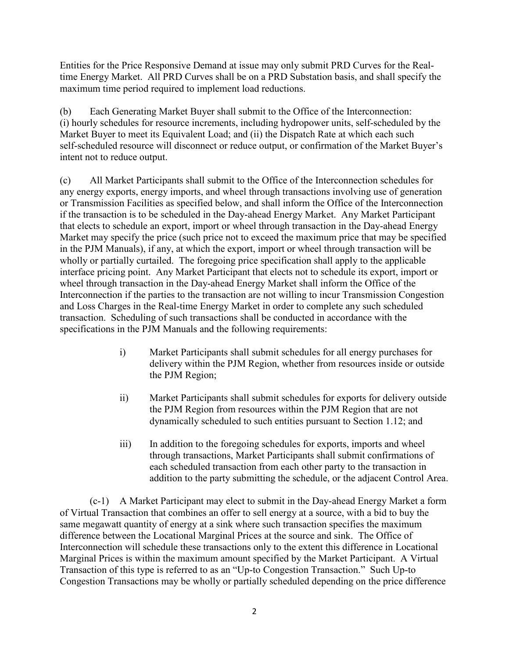Entities for the Price Responsive Demand at issue may only submit PRD Curves for the Realtime Energy Market. All PRD Curves shall be on a PRD Substation basis, and shall specify the maximum time period required to implement load reductions.

(b) Each Generating Market Buyer shall submit to the Office of the Interconnection: (i) hourly schedules for resource increments, including hydropower units, self-scheduled by the Market Buyer to meet its Equivalent Load; and (ii) the Dispatch Rate at which each such self-scheduled resource will disconnect or reduce output, or confirmation of the Market Buyer's intent not to reduce output.

(c) All Market Participants shall submit to the Office of the Interconnection schedules for any energy exports, energy imports, and wheel through transactions involving use of generation or Transmission Facilities as specified below, and shall inform the Office of the Interconnection if the transaction is to be scheduled in the Day-ahead Energy Market. Any Market Participant that elects to schedule an export, import or wheel through transaction in the Day-ahead Energy Market may specify the price (such price not to exceed the maximum price that may be specified in the PJM Manuals), if any, at which the export, import or wheel through transaction will be wholly or partially curtailed. The foregoing price specification shall apply to the applicable interface pricing point. Any Market Participant that elects not to schedule its export, import or wheel through transaction in the Day-ahead Energy Market shall inform the Office of the Interconnection if the parties to the transaction are not willing to incur Transmission Congestion and Loss Charges in the Real-time Energy Market in order to complete any such scheduled transaction. Scheduling of such transactions shall be conducted in accordance with the specifications in the PJM Manuals and the following requirements:

- i) Market Participants shall submit schedules for all energy purchases for delivery within the PJM Region, whether from resources inside or outside the PJM Region;
- ii) Market Participants shall submit schedules for exports for delivery outside the PJM Region from resources within the PJM Region that are not dynamically scheduled to such entities pursuant to Section 1.12; and
- iii) In addition to the foregoing schedules for exports, imports and wheel through transactions, Market Participants shall submit confirmations of each scheduled transaction from each other party to the transaction in addition to the party submitting the schedule, or the adjacent Control Area.

(c-1) A Market Participant may elect to submit in the Day-ahead Energy Market a form of Virtual Transaction that combines an offer to sell energy at a source, with a bid to buy the same megawatt quantity of energy at a sink where such transaction specifies the maximum difference between the Locational Marginal Prices at the source and sink. The Office of Interconnection will schedule these transactions only to the extent this difference in Locational Marginal Prices is within the maximum amount specified by the Market Participant. A Virtual Transaction of this type is referred to as an "Up-to Congestion Transaction." Such Up-to Congestion Transactions may be wholly or partially scheduled depending on the price difference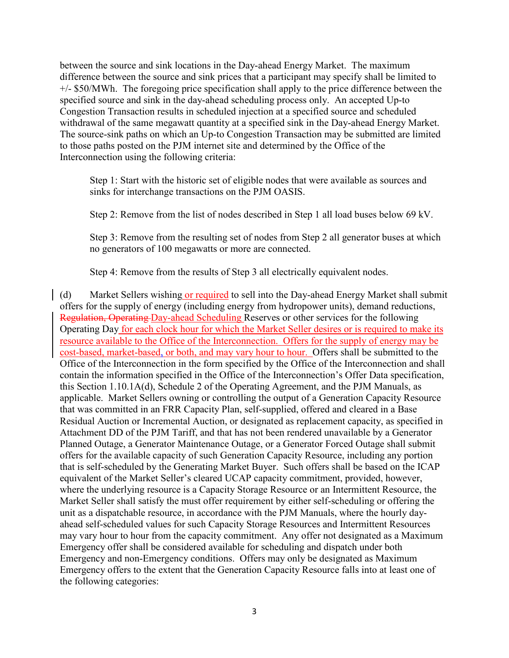between the source and sink locations in the Day-ahead Energy Market. The maximum difference between the source and sink prices that a participant may specify shall be limited to +/- \$50/MWh. The foregoing price specification shall apply to the price difference between the specified source and sink in the day-ahead scheduling process only. An accepted Up-to Congestion Transaction results in scheduled injection at a specified source and scheduled withdrawal of the same megawatt quantity at a specified sink in the Day-ahead Energy Market. The source-sink paths on which an Up-to Congestion Transaction may be submitted are limited to those paths posted on the PJM internet site and determined by the Office of the Interconnection using the following criteria:

Step 1: Start with the historic set of eligible nodes that were available as sources and sinks for interchange transactions on the PJM OASIS.

Step 2: Remove from the list of nodes described in Step 1 all load buses below 69 kV.

Step 3: Remove from the resulting set of nodes from Step 2 all generator buses at which no generators of 100 megawatts or more are connected.

Step 4: Remove from the results of Step 3 all electrically equivalent nodes.

(d) Market Sellers wishing or required to sell into the Day-ahead Energy Market shall submit offers for the supply of energy (including energy from hydropower units), demand reductions, Regulation, Operating Day-ahead Scheduling Reserves or other services for the following Operating Day for each clock hour for which the Market Seller desires or is required to make its resource available to the Office of the Interconnection. Offers for the supply of energy may be cost-based, market-based, or both, and may vary hour to hour. Offers shall be submitted to the Office of the Interconnection in the form specified by the Office of the Interconnection and shall contain the information specified in the Office of the Interconnection's Offer Data specification, this Section 1.10.1A(d), Schedule 2 of the Operating Agreement, and the PJM Manuals, as applicable. Market Sellers owning or controlling the output of a Generation Capacity Resource that was committed in an FRR Capacity Plan, self-supplied, offered and cleared in a Base Residual Auction or Incremental Auction, or designated as replacement capacity, as specified in Attachment DD of the PJM Tariff, and that has not been rendered unavailable by a Generator Planned Outage, a Generator Maintenance Outage, or a Generator Forced Outage shall submit offers for the available capacity of such Generation Capacity Resource, including any portion that is self-scheduled by the Generating Market Buyer. Such offers shall be based on the ICAP equivalent of the Market Seller's cleared UCAP capacity commitment, provided, however, where the underlying resource is a Capacity Storage Resource or an Intermittent Resource, the Market Seller shall satisfy the must offer requirement by either self-scheduling or offering the unit as a dispatchable resource, in accordance with the PJM Manuals, where the hourly dayahead self-scheduled values for such Capacity Storage Resources and Intermittent Resources may vary hour to hour from the capacity commitment. Any offer not designated as a Maximum Emergency offer shall be considered available for scheduling and dispatch under both Emergency and non-Emergency conditions. Offers may only be designated as Maximum Emergency offers to the extent that the Generation Capacity Resource falls into at least one of the following categories: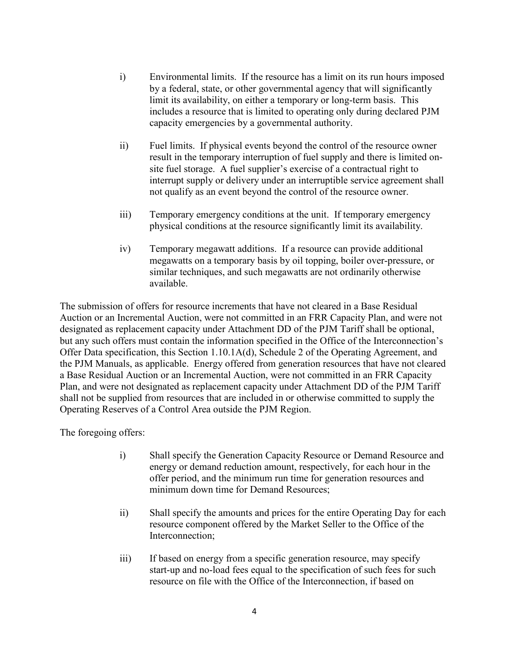- i) Environmental limits. If the resource has a limit on its run hours imposed by a federal, state, or other governmental agency that will significantly limit its availability, on either a temporary or long-term basis. This includes a resource that is limited to operating only during declared PJM capacity emergencies by a governmental authority.
- ii) Fuel limits. If physical events beyond the control of the resource owner result in the temporary interruption of fuel supply and there is limited onsite fuel storage. A fuel supplier's exercise of a contractual right to interrupt supply or delivery under an interruptible service agreement shall not qualify as an event beyond the control of the resource owner.
- iii) Temporary emergency conditions at the unit. If temporary emergency physical conditions at the resource significantly limit its availability.
- iv) Temporary megawatt additions. If a resource can provide additional megawatts on a temporary basis by oil topping, boiler over-pressure, or similar techniques, and such megawatts are not ordinarily otherwise available.

The submission of offers for resource increments that have not cleared in a Base Residual Auction or an Incremental Auction, were not committed in an FRR Capacity Plan, and were not designated as replacement capacity under Attachment DD of the PJM Tariff shall be optional, but any such offers must contain the information specified in the Office of the Interconnection's Offer Data specification, this Section 1.10.1A(d), Schedule 2 of the Operating Agreement, and the PJM Manuals, as applicable. Energy offered from generation resources that have not cleared a Base Residual Auction or an Incremental Auction, were not committed in an FRR Capacity Plan, and were not designated as replacement capacity under Attachment DD of the PJM Tariff shall not be supplied from resources that are included in or otherwise committed to supply the Operating Reserves of a Control Area outside the PJM Region.

The foregoing offers:

- i) Shall specify the Generation Capacity Resource or Demand Resource and energy or demand reduction amount, respectively, for each hour in the offer period, and the minimum run time for generation resources and minimum down time for Demand Resources;
- ii) Shall specify the amounts and prices for the entire Operating Day for each resource component offered by the Market Seller to the Office of the Interconnection;
- iii) If based on energy from a specific generation resource, may specify start-up and no-load fees equal to the specification of such fees for such resource on file with the Office of the Interconnection, if based on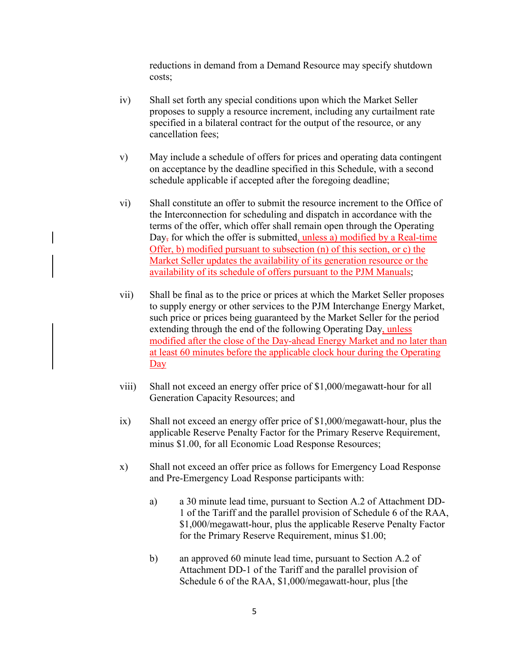reductions in demand from a Demand Resource may specify shutdown costs;

- iv) Shall set forth any special conditions upon which the Market Seller proposes to supply a resource increment, including any curtailment rate specified in a bilateral contract for the output of the resource, or any cancellation fees;
- v) May include a schedule of offers for prices and operating data contingent on acceptance by the deadline specified in this Schedule, with a second schedule applicable if accepted after the foregoing deadline;
- vi) Shall constitute an offer to submit the resource increment to the Office of the Interconnection for scheduling and dispatch in accordance with the terms of the offer, which offer shall remain open through the Operating Day, for which the offer is submitted, unless a) modified by a Real-time Offer, b) modified pursuant to subsection (n) of this section, or c) the Market Seller updates the availability of its generation resource or the availability of its schedule of offers pursuant to the PJM Manuals;
- vii) Shall be final as to the price or prices at which the Market Seller proposes to supply energy or other services to the PJM Interchange Energy Market, such price or prices being guaranteed by the Market Seller for the period extending through the end of the following Operating Day, unless modified after the close of the Day-ahead Energy Market and no later than at least 60 minutes before the applicable clock hour during the Operating Day
- viii) Shall not exceed an energy offer price of \$1,000/megawatt-hour for all Generation Capacity Resources; and
- ix) Shall not exceed an energy offer price of \$1,000/megawatt-hour, plus the applicable Reserve Penalty Factor for the Primary Reserve Requirement, minus \$1.00, for all Economic Load Response Resources;
- x) Shall not exceed an offer price as follows for Emergency Load Response and Pre-Emergency Load Response participants with:
	- a) a 30 minute lead time, pursuant to Section A.2 of Attachment DD-1 of the Tariff and the parallel provision of Schedule 6 of the RAA, \$1,000/megawatt-hour, plus the applicable Reserve Penalty Factor for the Primary Reserve Requirement, minus \$1.00;
	- b) an approved 60 minute lead time, pursuant to Section A.2 of Attachment DD-1 of the Tariff and the parallel provision of Schedule 6 of the RAA, \$1,000/megawatt-hour, plus [the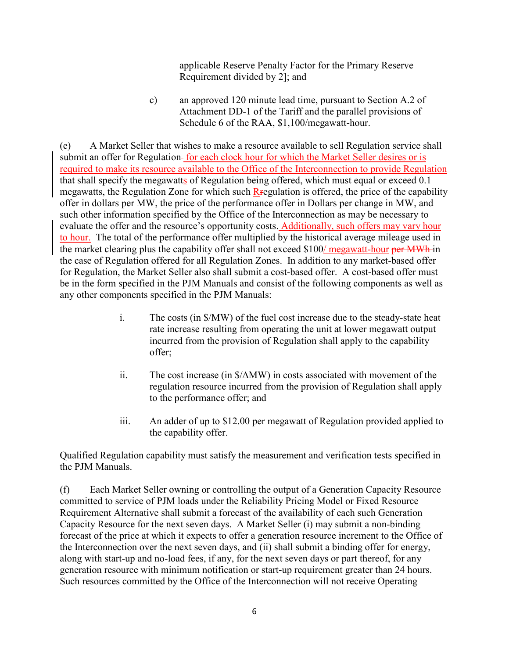applicable Reserve Penalty Factor for the Primary Reserve Requirement divided by 2]; and

c) an approved 120 minute lead time, pursuant to Section A.2 of Attachment DD-1 of the Tariff and the parallel provisions of Schedule 6 of the RAA, \$1,100/megawatt-hour.

(e) A Market Seller that wishes to make a resource available to sell Regulation service shall submit an offer for Regulation-for each clock hour for which the Market Seller desires or is required to make its resource available to the Office of the Interconnection to provide Regulation that shall specify the megawatts of Regulation being offered, which must equal or exceed 0.1 megawatts, the Regulation Zone for which such Regulation is offered, the price of the capability offer in dollars per MW, the price of the performance offer in Dollars per change in MW, and such other information specified by the Office of the Interconnection as may be necessary to evaluate the offer and the resource's opportunity costs. Additionally, such offers may vary hour to hour. The total of the performance offer multiplied by the historical average mileage used in the market clearing plus the capability offer shall not exceed \$100/ megawatt-hour per MWh in the case of Regulation offered for all Regulation Zones. In addition to any market-based offer for Regulation, the Market Seller also shall submit a cost-based offer. A cost-based offer must be in the form specified in the PJM Manuals and consist of the following components as well as any other components specified in the PJM Manuals:

- i. The costs (in \$/MW) of the fuel cost increase due to the steady-state heat rate increase resulting from operating the unit at lower megawatt output incurred from the provision of Regulation shall apply to the capability offer;
- ii. The cost increase (in \$/∆MW) in costs associated with movement of the regulation resource incurred from the provision of Regulation shall apply to the performance offer; and
- iii. An adder of up to \$12.00 per megawatt of Regulation provided applied to the capability offer.

Qualified Regulation capability must satisfy the measurement and verification tests specified in the PJM Manuals.

(f) Each Market Seller owning or controlling the output of a Generation Capacity Resource committed to service of PJM loads under the Reliability Pricing Model or Fixed Resource Requirement Alternative shall submit a forecast of the availability of each such Generation Capacity Resource for the next seven days. A Market Seller (i) may submit a non-binding forecast of the price at which it expects to offer a generation resource increment to the Office of the Interconnection over the next seven days, and (ii) shall submit a binding offer for energy, along with start-up and no-load fees, if any, for the next seven days or part thereof, for any generation resource with minimum notification or start-up requirement greater than 24 hours. Such resources committed by the Office of the Interconnection will not receive Operating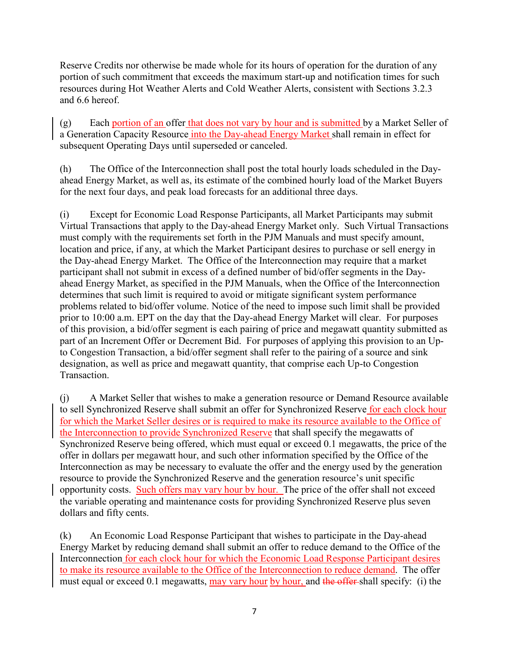Reserve Credits nor otherwise be made whole for its hours of operation for the duration of any portion of such commitment that exceeds the maximum start-up and notification times for such resources during Hot Weather Alerts and Cold Weather Alerts, consistent with Sections 3.2.3 and 6.6 hereof.

(g) Each portion of an offer that does not vary by hour and is submitted by a Market Seller of a Generation Capacity Resource into the Day-ahead Energy Market shall remain in effect for subsequent Operating Days until superseded or canceled.

(h) The Office of the Interconnection shall post the total hourly loads scheduled in the Dayahead Energy Market, as well as, its estimate of the combined hourly load of the Market Buyers for the next four days, and peak load forecasts for an additional three days.

(i) Except for Economic Load Response Participants, all Market Participants may submit Virtual Transactions that apply to the Day-ahead Energy Market only. Such Virtual Transactions must comply with the requirements set forth in the PJM Manuals and must specify amount, location and price, if any, at which the Market Participant desires to purchase or sell energy in the Day-ahead Energy Market. The Office of the Interconnection may require that a market participant shall not submit in excess of a defined number of bid/offer segments in the Dayahead Energy Market, as specified in the PJM Manuals, when the Office of the Interconnection determines that such limit is required to avoid or mitigate significant system performance problems related to bid/offer volume. Notice of the need to impose such limit shall be provided prior to 10:00 a.m. EPT on the day that the Day-ahead Energy Market will clear. For purposes of this provision, a bid/offer segment is each pairing of price and megawatt quantity submitted as part of an Increment Offer or Decrement Bid. For purposes of applying this provision to an Upto Congestion Transaction, a bid/offer segment shall refer to the pairing of a source and sink designation, as well as price and megawatt quantity, that comprise each Up-to Congestion Transaction.

(j) A Market Seller that wishes to make a generation resource or Demand Resource available to sell Synchronized Reserve shall submit an offer for Synchronized Reserve for each clock hour for which the Market Seller desires or is required to make its resource available to the Office of the Interconnection to provide Synchronized Reserve that shall specify the megawatts of Synchronized Reserve being offered, which must equal or exceed 0.1 megawatts, the price of the offer in dollars per megawatt hour, and such other information specified by the Office of the Interconnection as may be necessary to evaluate the offer and the energy used by the generation resource to provide the Synchronized Reserve and the generation resource's unit specific opportunity costs. Such offers may vary hour by hour. The price of the offer shall not exceed the variable operating and maintenance costs for providing Synchronized Reserve plus seven dollars and fifty cents.

(k) An Economic Load Response Participant that wishes to participate in the Day-ahead Energy Market by reducing demand shall submit an offer to reduce demand to the Office of the Interconnection for each clock hour for which the Economic Load Response Participant desires to make its resource available to the Office of the Interconnection to reduce demand. The offer must equal or exceed 0.1 megawatts, may vary hour by hour, and the offer-shall specify: (i) the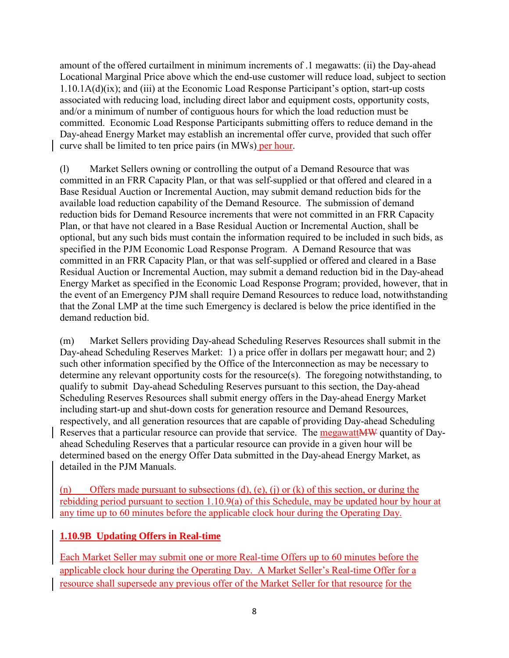amount of the offered curtailment in minimum increments of .1 megawatts: (ii) the Day-ahead Locational Marginal Price above which the end-use customer will reduce load, subject to section 1.10.1A(d)(ix); and (iii) at the Economic Load Response Participant's option, start-up costs associated with reducing load, including direct labor and equipment costs, opportunity costs, and/or a minimum of number of contiguous hours for which the load reduction must be committed. Economic Load Response Participants submitting offers to reduce demand in the Day-ahead Energy Market may establish an incremental offer curve, provided that such offer curve shall be limited to ten price pairs (in MWs) per hour.

(l) Market Sellers owning or controlling the output of a Demand Resource that was committed in an FRR Capacity Plan, or that was self-supplied or that offered and cleared in a Base Residual Auction or Incremental Auction, may submit demand reduction bids for the available load reduction capability of the Demand Resource. The submission of demand reduction bids for Demand Resource increments that were not committed in an FRR Capacity Plan, or that have not cleared in a Base Residual Auction or Incremental Auction, shall be optional, but any such bids must contain the information required to be included in such bids, as specified in the PJM Economic Load Response Program. A Demand Resource that was committed in an FRR Capacity Plan, or that was self-supplied or offered and cleared in a Base Residual Auction or Incremental Auction, may submit a demand reduction bid in the Day-ahead Energy Market as specified in the Economic Load Response Program; provided, however, that in the event of an Emergency PJM shall require Demand Resources to reduce load, notwithstanding that the Zonal LMP at the time such Emergency is declared is below the price identified in the demand reduction bid.

(m) Market Sellers providing Day-ahead Scheduling Reserves Resources shall submit in the Day-ahead Scheduling Reserves Market: 1) a price offer in dollars per megawatt hour; and 2) such other information specified by the Office of the Interconnection as may be necessary to determine any relevant opportunity costs for the resource(s). The foregoing notwithstanding, to qualify to submit Day-ahead Scheduling Reserves pursuant to this section, the Day-ahead Scheduling Reserves Resources shall submit energy offers in the Day-ahead Energy Market including start-up and shut-down costs for generation resource and Demand Resources, respectively, and all generation resources that are capable of providing Day-ahead Scheduling Reserves that a particular resource can provide that service. The megawatt MW quantity of Dayahead Scheduling Reserves that a particular resource can provide in a given hour will be determined based on the energy Offer Data submitted in the Day-ahead Energy Market, as detailed in the PJM Manuals.

(n) Offers made pursuant to subsections (d), (e), (j) or (k) of this section, or during the rebidding period pursuant to section 1.10.9(a) of this Schedule, may be updated hour by hour at any time up to 60 minutes before the applicable clock hour during the Operating Day.

# **1.10.9B Updating Offers in Real-time**

Each Market Seller may submit one or more Real-time Offers up to 60 minutes before the applicable clock hour during the Operating Day. A Market Seller's Real-time Offer for a resource shall supersede any previous offer of the Market Seller for that resource for the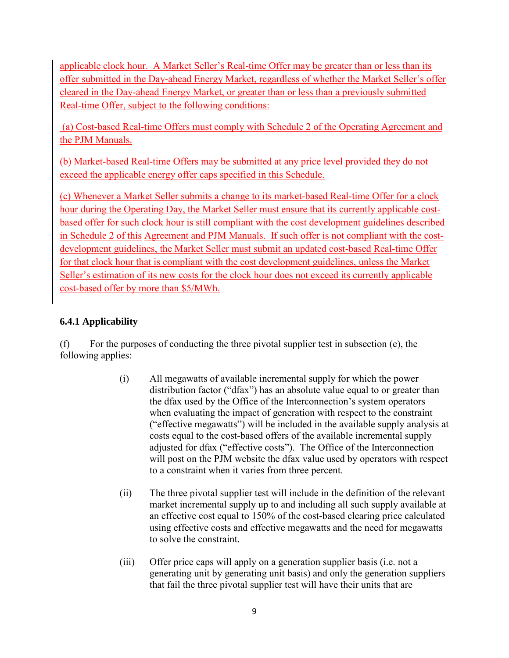applicable clock hour. A Market Seller's Real-time Offer may be greater than or less than its offer submitted in the Day-ahead Energy Market, regardless of whether the Market Seller's offer cleared in the Day-ahead Energy Market, or greater than or less than a previously submitted Real-time Offer, subject to the following conditions:

(a) Cost-based Real-time Offers must comply with Schedule 2 of the Operating Agreement and the PJM Manuals.

(b) Market-based Real-time Offers may be submitted at any price level provided they do not exceed the applicable energy offer caps specified in this Schedule.

(c) Whenever a Market Seller submits a change to its market-based Real-time Offer for a clock hour during the Operating Day, the Market Seller must ensure that its currently applicable costbased offer for such clock hour is still compliant with the cost development guidelines described in Schedule 2 of this Agreement and PJM Manuals. If such offer is not compliant with the costdevelopment guidelines, the Market Seller must submit an updated cost-based Real-time Offer for that clock hour that is compliant with the cost development guidelines, unless the Market Seller's estimation of its new costs for the clock hour does not exceed its currently applicable cost-based offer by more than \$5/MWh.

# **6.4.1 Applicability**

(f) For the purposes of conducting the three pivotal supplier test in subsection (e), the following applies:

- (i) All megawatts of available incremental supply for which the power distribution factor ("dfax") has an absolute value equal to or greater than the dfax used by the Office of the Interconnection's system operators when evaluating the impact of generation with respect to the constraint ("effective megawatts") will be included in the available supply analysis at costs equal to the cost-based offers of the available incremental supply adjusted for dfax ("effective costs"). The Office of the Interconnection will post on the PJM website the dfax value used by operators with respect to a constraint when it varies from three percent.
- (ii) The three pivotal supplier test will include in the definition of the relevant market incremental supply up to and including all such supply available at an effective cost equal to 150% of the cost-based clearing price calculated using effective costs and effective megawatts and the need for megawatts to solve the constraint.
- (iii) Offer price caps will apply on a generation supplier basis (i.e. not a generating unit by generating unit basis) and only the generation suppliers that fail the three pivotal supplier test will have their units that are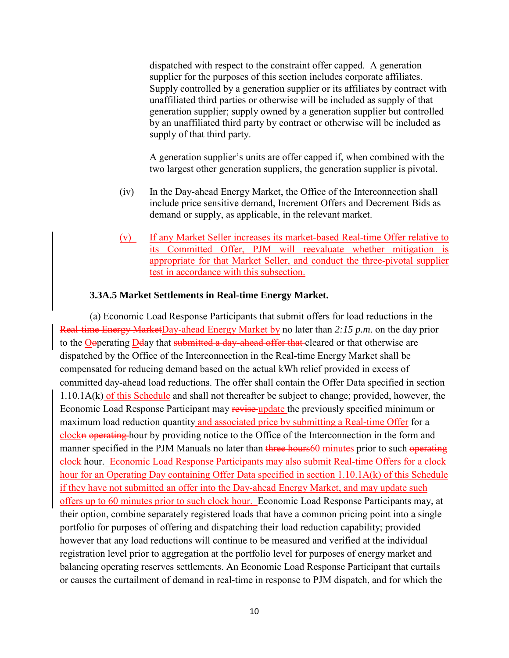dispatched with respect to the constraint offer capped. A generation supplier for the purposes of this section includes corporate affiliates. Supply controlled by a generation supplier or its affiliates by contract with unaffiliated third parties or otherwise will be included as supply of that generation supplier; supply owned by a generation supplier but controlled by an unaffiliated third party by contract or otherwise will be included as supply of that third party.

A generation supplier's units are offer capped if, when combined with the two largest other generation suppliers, the generation supplier is pivotal.

- (iv) In the Day-ahead Energy Market, the Office of the Interconnection shall include price sensitive demand, Increment Offers and Decrement Bids as demand or supply, as applicable, in the relevant market.
- (v) If any Market Seller increases its market-based Real-time Offer relative to its Committed Offer, PJM will reevaluate whether mitigation is appropriate for that Market Seller, and conduct the three-pivotal supplier test in accordance with this subsection.

#### **3.3A.5 Market Settlements in Real-time Energy Market.**

(a) Economic Load Response Participants that submit offers for load reductions in the Real-time Energy MarketDay-ahead Energy Market by no later than *2:15 p.m*. on the day prior to the Ooperating Dday that submitted a day-ahead offer that cleared or that otherwise are dispatched by the Office of the Interconnection in the Real-time Energy Market shall be compensated for reducing demand based on the actual kWh relief provided in excess of committed day-ahead load reductions. The offer shall contain the Offer Data specified in section 1.10.1A(k) of this Schedule and shall not thereafter be subject to change; provided, however, the Economic Load Response Participant may revise-update the previously specified minimum or maximum load reduction quantity and associated price by submitting a Real-time Offer for a clockn operating hour by providing notice to the Office of the Interconnection in the form and manner specified in the PJM Manuals no later than three hours60 minutes prior to such operating clock hour. Economic Load Response Participants may also submit Real-time Offers for a clock hour for an Operating Day containing Offer Data specified in section 1.10.1A(k) of this Schedule if they have not submitted an offer into the Day-ahead Energy Market, and may update such offers up to 60 minutes prior to such clock hour. Economic Load Response Participants may, at their option, combine separately registered loads that have a common pricing point into a single portfolio for purposes of offering and dispatching their load reduction capability; provided however that any load reductions will continue to be measured and verified at the individual registration level prior to aggregation at the portfolio level for purposes of energy market and balancing operating reserves settlements. An Economic Load Response Participant that curtails or causes the curtailment of demand in real-time in response to PJM dispatch, and for which the